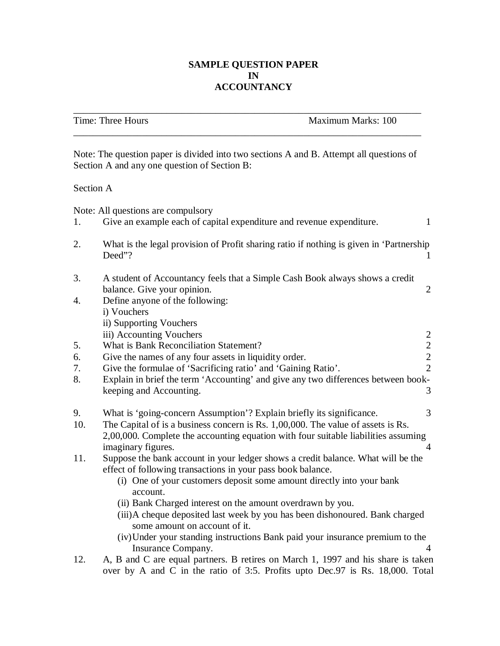# **SAMPLE QUESTION PAPER IN ACCOUNTANCY**

\_\_\_\_\_\_\_\_\_\_\_\_\_\_\_\_\_\_\_\_\_\_\_\_\_\_\_\_\_\_\_\_\_\_\_\_\_\_\_\_\_\_\_\_\_\_\_\_\_\_\_\_\_\_\_\_\_\_\_\_\_\_\_\_\_\_\_\_\_\_\_

|                                                                                                                                                                                                                                                                                                                                                                                                                                                                                                | Time: Three Hours                                                                                                                                                                                                                                                                                                                                                                                                                                                                                                                                                                                                                                                                                                                                                                                                                                                                                                                                                                                                                                                                                                                                                                                                                                                                                                                                                                                                                                                          | Maximum Marks: 100 |  |
|------------------------------------------------------------------------------------------------------------------------------------------------------------------------------------------------------------------------------------------------------------------------------------------------------------------------------------------------------------------------------------------------------------------------------------------------------------------------------------------------|----------------------------------------------------------------------------------------------------------------------------------------------------------------------------------------------------------------------------------------------------------------------------------------------------------------------------------------------------------------------------------------------------------------------------------------------------------------------------------------------------------------------------------------------------------------------------------------------------------------------------------------------------------------------------------------------------------------------------------------------------------------------------------------------------------------------------------------------------------------------------------------------------------------------------------------------------------------------------------------------------------------------------------------------------------------------------------------------------------------------------------------------------------------------------------------------------------------------------------------------------------------------------------------------------------------------------------------------------------------------------------------------------------------------------------------------------------------------------|--------------------|--|
|                                                                                                                                                                                                                                                                                                                                                                                                                                                                                                | Give an example each of capital expenditure and revenue expenditure.<br>1<br>What is the legal provision of Profit sharing ratio if nothing is given in 'Partnership'<br>Deed"?<br>A student of Accountancy feels that a Simple Cash Book always shows a credit<br>balance. Give your opinion.<br>2<br>Define anyone of the following:<br>i) Vouchers<br>ii) Supporting Vouchers<br>iii) Accounting Vouchers<br>2<br>$\overline{2}$<br>What is Bank Reconciliation Statement?<br>Give the names of any four assets in liquidity order.<br>$\overline{2}$<br>$\overline{2}$<br>Give the formulae of 'Sacrificing ratio' and 'Gaining Ratio'.<br>Explain in brief the term 'Accounting' and give any two differences between book-<br>keeping and Accounting.<br>3<br>What is 'going-concern Assumption'? Explain briefly its significance.<br>3<br>The Capital of is a business concern is Rs. 1,00,000. The value of assets is Rs.<br>2,00,000. Complete the accounting equation with four suitable liabilities assuming<br>imaginary figures.<br>4<br>Suppose the bank account in your ledger shows a credit balance. What will be the<br>effect of following transactions in your pass book balance.<br>(i) One of your customers deposit some amount directly into your bank<br>account.<br>(ii) Bank Charged interest on the amount overdrawn by you.<br>(iii) A cheque deposited last week by you has been dishonoured. Bank charged<br>some amount on account of it. |                    |  |
| Note: The question paper is divided into two sections A and B. Attempt all questions of<br>Section A and any one question of Section B:<br>Section A<br>Note: All questions are compulsory<br>7.<br>8.<br>10.<br>(iv) Under your standing instructions Bank paid your insurance premium to the<br>Insurance Company.<br>4<br>A, B and C are equal partners. B retires on March 1, 1997 and his share is taken<br>over by A and C in the ratio of 3:5. Profits upto Dec.97 is Rs. 18,000. Total |                                                                                                                                                                                                                                                                                                                                                                                                                                                                                                                                                                                                                                                                                                                                                                                                                                                                                                                                                                                                                                                                                                                                                                                                                                                                                                                                                                                                                                                                            |                    |  |
|                                                                                                                                                                                                                                                                                                                                                                                                                                                                                                |                                                                                                                                                                                                                                                                                                                                                                                                                                                                                                                                                                                                                                                                                                                                                                                                                                                                                                                                                                                                                                                                                                                                                                                                                                                                                                                                                                                                                                                                            |                    |  |
| 1.                                                                                                                                                                                                                                                                                                                                                                                                                                                                                             |                                                                                                                                                                                                                                                                                                                                                                                                                                                                                                                                                                                                                                                                                                                                                                                                                                                                                                                                                                                                                                                                                                                                                                                                                                                                                                                                                                                                                                                                            |                    |  |
| 2.                                                                                                                                                                                                                                                                                                                                                                                                                                                                                             |                                                                                                                                                                                                                                                                                                                                                                                                                                                                                                                                                                                                                                                                                                                                                                                                                                                                                                                                                                                                                                                                                                                                                                                                                                                                                                                                                                                                                                                                            |                    |  |
| 3.                                                                                                                                                                                                                                                                                                                                                                                                                                                                                             |                                                                                                                                                                                                                                                                                                                                                                                                                                                                                                                                                                                                                                                                                                                                                                                                                                                                                                                                                                                                                                                                                                                                                                                                                                                                                                                                                                                                                                                                            |                    |  |
| 4.                                                                                                                                                                                                                                                                                                                                                                                                                                                                                             |                                                                                                                                                                                                                                                                                                                                                                                                                                                                                                                                                                                                                                                                                                                                                                                                                                                                                                                                                                                                                                                                                                                                                                                                                                                                                                                                                                                                                                                                            |                    |  |
|                                                                                                                                                                                                                                                                                                                                                                                                                                                                                                |                                                                                                                                                                                                                                                                                                                                                                                                                                                                                                                                                                                                                                                                                                                                                                                                                                                                                                                                                                                                                                                                                                                                                                                                                                                                                                                                                                                                                                                                            |                    |  |
| 5.                                                                                                                                                                                                                                                                                                                                                                                                                                                                                             |                                                                                                                                                                                                                                                                                                                                                                                                                                                                                                                                                                                                                                                                                                                                                                                                                                                                                                                                                                                                                                                                                                                                                                                                                                                                                                                                                                                                                                                                            |                    |  |
| 6.                                                                                                                                                                                                                                                                                                                                                                                                                                                                                             |                                                                                                                                                                                                                                                                                                                                                                                                                                                                                                                                                                                                                                                                                                                                                                                                                                                                                                                                                                                                                                                                                                                                                                                                                                                                                                                                                                                                                                                                            |                    |  |
|                                                                                                                                                                                                                                                                                                                                                                                                                                                                                                |                                                                                                                                                                                                                                                                                                                                                                                                                                                                                                                                                                                                                                                                                                                                                                                                                                                                                                                                                                                                                                                                                                                                                                                                                                                                                                                                                                                                                                                                            |                    |  |
|                                                                                                                                                                                                                                                                                                                                                                                                                                                                                                |                                                                                                                                                                                                                                                                                                                                                                                                                                                                                                                                                                                                                                                                                                                                                                                                                                                                                                                                                                                                                                                                                                                                                                                                                                                                                                                                                                                                                                                                            |                    |  |
| 9.                                                                                                                                                                                                                                                                                                                                                                                                                                                                                             |                                                                                                                                                                                                                                                                                                                                                                                                                                                                                                                                                                                                                                                                                                                                                                                                                                                                                                                                                                                                                                                                                                                                                                                                                                                                                                                                                                                                                                                                            |                    |  |
|                                                                                                                                                                                                                                                                                                                                                                                                                                                                                                |                                                                                                                                                                                                                                                                                                                                                                                                                                                                                                                                                                                                                                                                                                                                                                                                                                                                                                                                                                                                                                                                                                                                                                                                                                                                                                                                                                                                                                                                            |                    |  |
| 11.                                                                                                                                                                                                                                                                                                                                                                                                                                                                                            |                                                                                                                                                                                                                                                                                                                                                                                                                                                                                                                                                                                                                                                                                                                                                                                                                                                                                                                                                                                                                                                                                                                                                                                                                                                                                                                                                                                                                                                                            |                    |  |
|                                                                                                                                                                                                                                                                                                                                                                                                                                                                                                |                                                                                                                                                                                                                                                                                                                                                                                                                                                                                                                                                                                                                                                                                                                                                                                                                                                                                                                                                                                                                                                                                                                                                                                                                                                                                                                                                                                                                                                                            |                    |  |
|                                                                                                                                                                                                                                                                                                                                                                                                                                                                                                |                                                                                                                                                                                                                                                                                                                                                                                                                                                                                                                                                                                                                                                                                                                                                                                                                                                                                                                                                                                                                                                                                                                                                                                                                                                                                                                                                                                                                                                                            |                    |  |
|                                                                                                                                                                                                                                                                                                                                                                                                                                                                                                |                                                                                                                                                                                                                                                                                                                                                                                                                                                                                                                                                                                                                                                                                                                                                                                                                                                                                                                                                                                                                                                                                                                                                                                                                                                                                                                                                                                                                                                                            |                    |  |
|                                                                                                                                                                                                                                                                                                                                                                                                                                                                                                |                                                                                                                                                                                                                                                                                                                                                                                                                                                                                                                                                                                                                                                                                                                                                                                                                                                                                                                                                                                                                                                                                                                                                                                                                                                                                                                                                                                                                                                                            |                    |  |
|                                                                                                                                                                                                                                                                                                                                                                                                                                                                                                |                                                                                                                                                                                                                                                                                                                                                                                                                                                                                                                                                                                                                                                                                                                                                                                                                                                                                                                                                                                                                                                                                                                                                                                                                                                                                                                                                                                                                                                                            |                    |  |
|                                                                                                                                                                                                                                                                                                                                                                                                                                                                                                |                                                                                                                                                                                                                                                                                                                                                                                                                                                                                                                                                                                                                                                                                                                                                                                                                                                                                                                                                                                                                                                                                                                                                                                                                                                                                                                                                                                                                                                                            |                    |  |
| 12.                                                                                                                                                                                                                                                                                                                                                                                                                                                                                            |                                                                                                                                                                                                                                                                                                                                                                                                                                                                                                                                                                                                                                                                                                                                                                                                                                                                                                                                                                                                                                                                                                                                                                                                                                                                                                                                                                                                                                                                            |                    |  |
|                                                                                                                                                                                                                                                                                                                                                                                                                                                                                                |                                                                                                                                                                                                                                                                                                                                                                                                                                                                                                                                                                                                                                                                                                                                                                                                                                                                                                                                                                                                                                                                                                                                                                                                                                                                                                                                                                                                                                                                            |                    |  |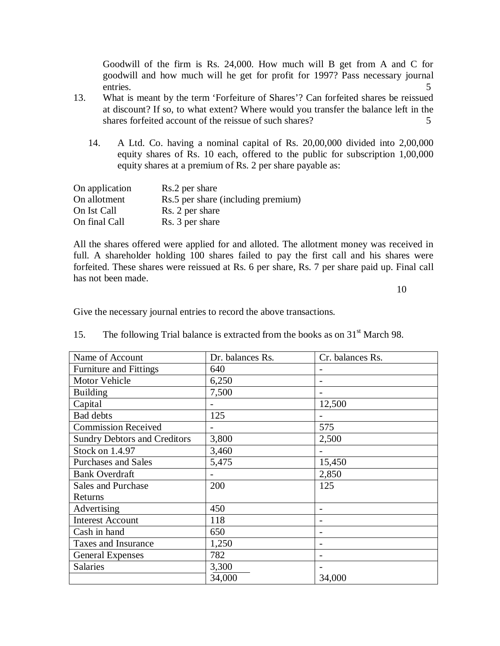Goodwill of the firm is Rs. 24,000. How much will B get from A and C for goodwill and how much will he get for profit for 1997? Pass necessary journal entries. 5

- 13. What is meant by the term 'Forfeiture of Shares'? Can forfeited shares be reissued at discount? If so, to what extent? Where would you transfer the balance left in the shares for feited account of the reissue of such shares?  $5 \times 5$ 
	- 14. A Ltd. Co. having a nominal capital of Rs. 20,00,000 divided into 2,00,000 equity shares of Rs. 10 each, offered to the public for subscription 1,00,000 equity shares at a premium of Rs. 2 per share payable as:

| On application | Rs.2 per share                     |
|----------------|------------------------------------|
| On allotment   | Rs.5 per share (including premium) |
| On Ist Call    | Rs. 2 per share                    |
| On final Call  | Rs. 3 per share                    |

All the shares offered were applied for and alloted. The allotment money was received in full. A shareholder holding 100 shares failed to pay the first call and his shares were forfeited. These shares were reissued at Rs. 6 per share, Rs. 7 per share paid up. Final call has not been made.

10

Give the necessary journal entries to record the above transactions.

| Name of Account                     | Dr. balances Rs. | Cr. balances Rs. |
|-------------------------------------|------------------|------------------|
| <b>Furniture and Fittings</b>       | 640              |                  |
| Motor Vehicle                       | 6,250            |                  |
| <b>Building</b>                     | 7,500            |                  |
| Capital                             |                  | 12,500           |
| <b>Bad debts</b>                    | 125              |                  |
| <b>Commission Received</b>          |                  | 575              |
| <b>Sundry Debtors and Creditors</b> | 3,800            | 2,500            |
| Stock on 1.4.97                     | 3,460            |                  |
| <b>Purchases and Sales</b>          | 5,475            | 15,450           |
| <b>Bank Overdraft</b>               |                  | 2,850            |
| <b>Sales and Purchase</b>           | 200              | 125              |
| Returns                             |                  |                  |
| Advertising                         | 450              |                  |
| <b>Interest Account</b>             | 118              |                  |
| Cash in hand                        | 650              |                  |
| <b>Taxes and Insurance</b>          | 1,250            |                  |
| <b>General Expenses</b>             | 782              |                  |
| <b>Salaries</b>                     | 3,300            |                  |
|                                     | 34,000           | 34,000           |

15. The following Trial balance is extracted from the books as on  $31<sup>st</sup>$  March 98.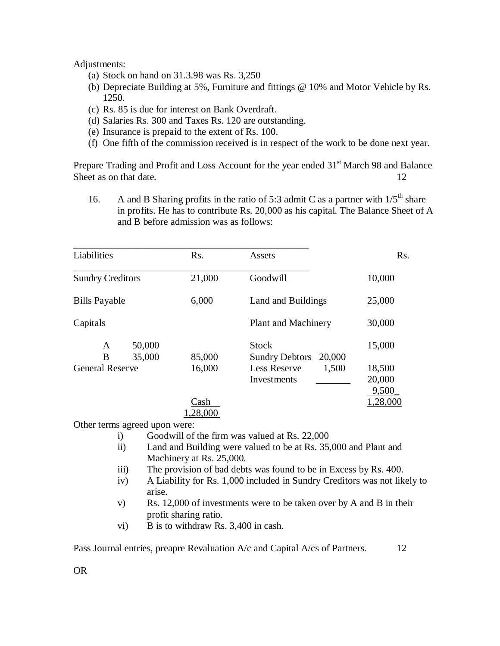### Adjustments:

- (a) Stock on hand on 31.3.98 was Rs. 3,250
- (b) Depreciate Building at 5%, Furniture and fittings @ 10% and Motor Vehicle by Rs. 1250.
- (c) Rs. 85 is due for interest on Bank Overdraft.
- (d) Salaries Rs. 300 and Taxes Rs. 120 are outstanding.
- (e) Insurance is prepaid to the extent of Rs. 100.
- (f) One fifth of the commission received is in respect of the work to be done next year.

Prepare Trading and Profit and Loss Account for the year ended 31<sup>st</sup> March 98 and Balance Sheet as on that date. 12

16. A and B Sharing profits in the ratio of 5:3 admit C as a partner with  $1/5<sup>th</sup>$  share in profits. He has to contribute Rs. 20,000 as his capital. The Balance Sheet of A and B before admission was as follows:

| Liabilities                      |                  | Rs.              | Assets                                                                          | Rs.                         |
|----------------------------------|------------------|------------------|---------------------------------------------------------------------------------|-----------------------------|
| <b>Sundry Creditors</b>          |                  | 21,000           | Goodwill                                                                        | 10,000                      |
| <b>Bills Payable</b>             |                  | 6,000            | Land and Buildings                                                              | 25,000                      |
| Capitals                         |                  |                  | Plant and Machinery                                                             | 30,000                      |
| A<br>B<br><b>General Reserve</b> | 50,000<br>35,000 | 85,000<br>16,000 | <b>Stock</b><br>20,000<br><b>Sundry Debtors</b><br><b>Less Reserve</b><br>1,500 | 15,000<br>18,500            |
|                                  |                  | Cash<br>1,28,000 | Investments                                                                     | 20,000<br>9,500<br>1,28,000 |

Other terms agreed upon were:

- i) Goodwill of the firm was valued at Rs. 22,000
- ii) Land and Building were valued to be at Rs. 35,000 and Plant and Machinery at Rs. 25,000.
- iii) The provision of bad debts was found to be in Excess by Rs. 400.
- iv) A Liability for Rs. 1,000 included in Sundry Creditors was not likely to arise.
- v) Rs. 12,000 of investments were to be taken over by A and B in their profit sharing ratio.
- vi) B is to withdraw Rs. 3,400 in cash.

Pass Journal entries, preapre Revaluation A/c and Capital A/cs of Partners. 12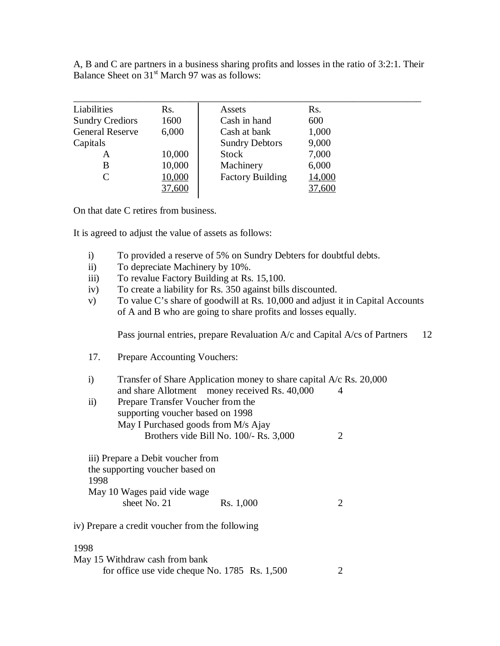A, B and C are partners in a business sharing profits and losses in the ratio of 3:2:1. Their Balance Sheet on  $31<sup>st</sup>$  March 97 was as follows:

| Liabilities            | Rs.    | Assets                  | Rs.    |  |
|------------------------|--------|-------------------------|--------|--|
| <b>Sundry Crediors</b> | 1600   | Cash in hand            | 600    |  |
| <b>General Reserve</b> | 6,000  | Cash at bank            | 1,000  |  |
| Capitals               |        | <b>Sundry Debtors</b>   | 9,000  |  |
| A                      | 10,000 | <b>Stock</b>            | 7,000  |  |
| B                      | 10,000 | Machinery               | 6,000  |  |
| C                      | 10,000 | <b>Factory Building</b> | 14,000 |  |
|                        | 37,600 |                         | 37,600 |  |

On that date C retires from business.

It is agreed to adjust the value of assets as follows:

- i) To provided a reserve of 5% on Sundry Debters for doubtful debts.
- ii) To depreciate Machinery by 10%.
- iii) To revalue Factory Building at Rs. 15,100.
- iv) To create a liability for Rs. 350 against bills discounted.
- v) To value C's share of goodwill at Rs. 10,000 and adjust it in Capital Accounts of A and B who are going to share profits and losses equally.

Pass journal entries, prepare Revaluation A/c and Capital A/cs of Partners 12

- 17. Prepare Accounting Vouchers:
- i) Transfer of Share Application money to share capital A/c Rs. 20,000 and share Allotment money received Rs. 40,000 4
- ii) Prepare Transfer Voucher from the supporting voucher based on 1998 May I Purchased goods from M/s Ajay Brothers vide Bill No. 100/- Rs. 3,000 2
- iii) Prepare a Debit voucher from the supporting voucher based on 1998 May 10 Wages paid vide wage sheet No. 21 Rs. 1,000 2
- iv) Prepare a credit voucher from the following

### 1998

| May 15 Withdraw cash from bank                    |  |
|---------------------------------------------------|--|
| for office use vide cheque No. $1785$ Rs. $1,500$ |  |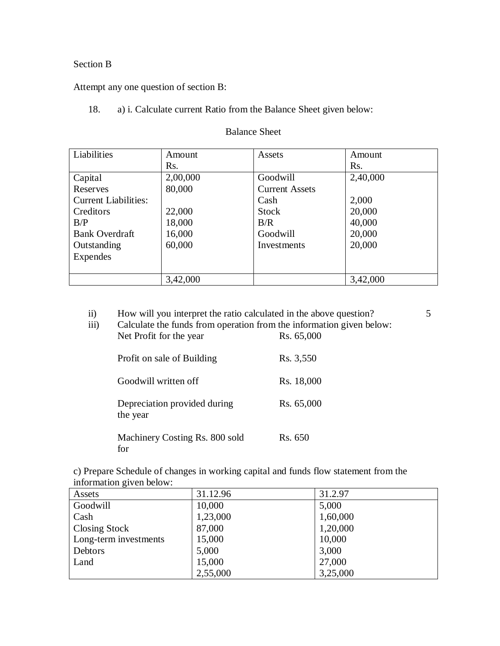### Section B

Attempt any one question of section B:

18. a) i. Calculate current Ratio from the Balance Sheet given below:

| Liabilities                 | Amount   | Assets                | Amount           |
|-----------------------------|----------|-----------------------|------------------|
|                             | Rs.      |                       | R <sub>S</sub> . |
| Capital                     | 2,00,000 | Goodwill              | 2,40,000         |
| Reserves                    | 80,000   | <b>Current Assets</b> |                  |
| <b>Current Liabilities:</b> |          | Cash                  | 2,000            |
| Creditors                   | 22,000   | <b>Stock</b>          | 20,000           |
| B/P                         | 18,000   | B/R                   | 40,000           |
| <b>Bank Overdraft</b>       | 16,000   | Goodwill              | 20,000           |
| Outstanding                 | 60,000   | Investments           | 20,000           |
| Expendes                    |          |                       |                  |
|                             |          |                       |                  |
|                             | 3,42,000 |                       | 3,42,000         |

## Balance Sheet

| $\mathbf{ii}$<br>iii) | How will you interpret the ratio calculated in the above question?<br>Calculate the funds from operation from the information given below:<br>Net Profit for the year | Rs. 65,000 | 5 |
|-----------------------|-----------------------------------------------------------------------------------------------------------------------------------------------------------------------|------------|---|
|                       | Profit on sale of Building                                                                                                                                            | Rs. 3,550  |   |
|                       | Goodwill written off                                                                                                                                                  | Rs. 18,000 |   |
|                       | Depreciation provided during<br>the year                                                                                                                              | Rs. 65,000 |   |
|                       | Machinery Costing Rs. 800 sold<br>for                                                                                                                                 | Rs. 650    |   |

c) Prepare Schedule of changes in working capital and funds flow statement from the information given below:

| Assets                | 31.12.96 | 31.2.97  |
|-----------------------|----------|----------|
| Goodwill              | 10,000   | 5,000    |
| Cash                  | 1,23,000 | 1,60,000 |
| Closing Stock         | 87,000   | 1,20,000 |
| Long-term investments | 15,000   | 10,000   |
| Debtors               | 5,000    | 3,000    |
| Land                  | 15,000   | 27,000   |
|                       | 2,55,000 | 3,25,000 |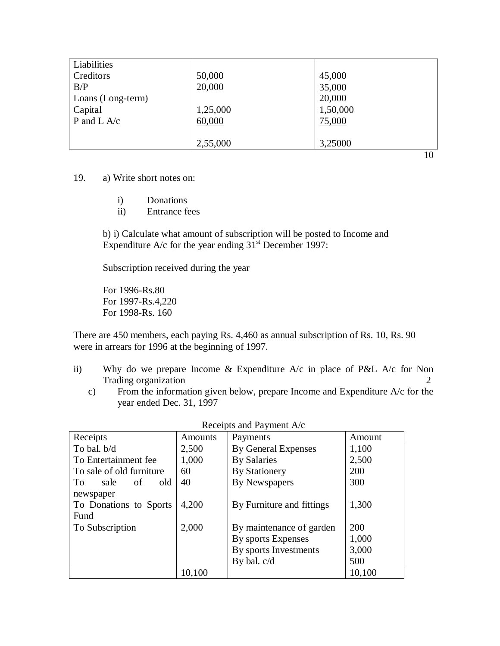| Liabilities       |          |          |
|-------------------|----------|----------|
| Creditors         | 50,000   | 45,000   |
| B/P               | 20,000   | 35,000   |
| Loans (Long-term) |          | 20,000   |
| Capital           | 1,25,000 | 1,50,000 |
| P and L $A/c$     | 60,000   | 75,000   |
|                   |          |          |
|                   | 2,55,000 | 3,25000  |

19. a) Write short notes on:

- i) Donations
- ii) Entrance fees

b) i) Calculate what amount of subscription will be posted to Income and Expenditure A/c for the year ending  $31<sup>st</sup>$  December 1997:

Subscription received during the year

For 1996-Rs.80 For 1997-Rs.4,220 For 1998-Rs. 160

There are 450 members, each paying Rs. 4,460 as annual subscription of Rs. 10, Rs. 90 were in arrears for 1996 at the beginning of 1997.

- ii) Why do we prepare Income & Expenditure A/c in place of P&L A/c for Non Trading organization 2
	- c) From the information given below, prepare Income and Expenditure A/c for the year ended Dec. 31, 1997

| Receipts                 | Amounts | Payments                   | Amount |
|--------------------------|---------|----------------------------|--------|
| To bal. b/d              | 2,500   | <b>By General Expenses</b> | 1,100  |
| To Entertainment fee     | 1,000   | <b>By Salaries</b>         | 2,500  |
| To sale of old furniture | 60      | <b>By Stationery</b>       | 200    |
| To.<br>sale<br>of<br>old | 40      | By Newspapers              | 300    |
| newspaper                |         |                            |        |
| To Donations to Sports   | 4,200   | By Furniture and fittings  | 1,300  |
| Fund                     |         |                            |        |
| To Subscription          | 2,000   | By maintenance of garden   | 200    |
|                          |         | By sports Expenses         | 1,000  |
|                          |         | By sports Investments      | 3,000  |
|                          |         | By bal. $c/d$              | 500    |
|                          | 10,100  |                            | 10,100 |

| Receipts and Payment A/c |  |  |  |  |
|--------------------------|--|--|--|--|
|--------------------------|--|--|--|--|

10